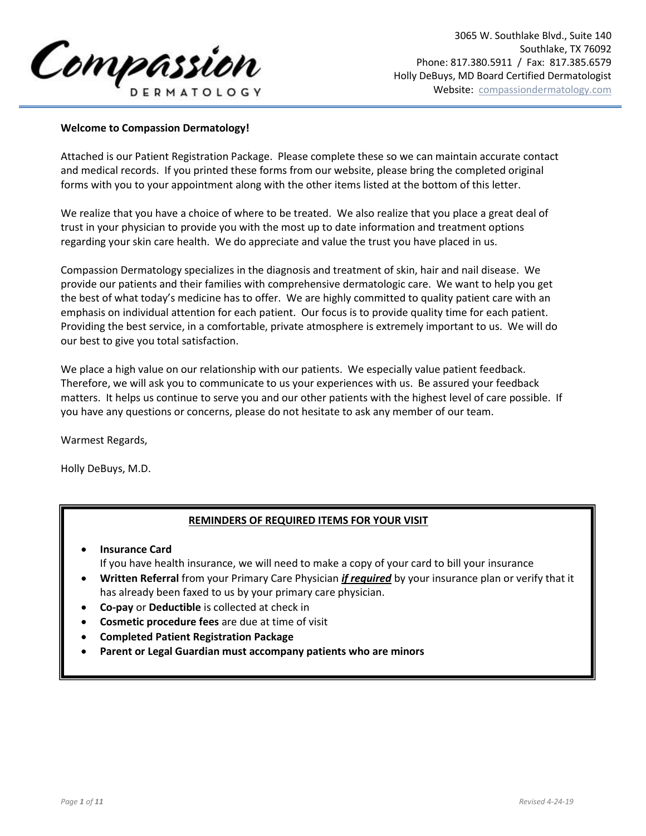

# **Welcome to Compassion Dermatology!**

Attached is our Patient Registration Package. Please complete these so we can maintain accurate contact and medical records. If you printed these forms from our website, please bring the completed original forms with you to your appointment along with the other items listed at the bottom of this letter.

We realize that you have a choice of where to be treated. We also realize that you place a great deal of trust in your physician to provide you with the most up to date information and treatment options regarding your skin care health. We do appreciate and value the trust you have placed in us.

Compassion Dermatology specializes in the diagnosis and treatment of skin, hair and nail disease. We provide our patients and their families with comprehensive dermatologic care. We want to help you get the best of what today's medicine has to offer. We are highly committed to quality patient care with an emphasis on individual attention for each patient. Our focus is to provide quality time for each patient. Providing the best service, in a comfortable, private atmosphere is extremely important to us. We will do our best to give you total satisfaction.

We place a high value on our relationship with our patients. We especially value patient feedback. Therefore, we will ask you to communicate to us your experiences with us. Be assured your feedback matters. It helps us continue to serve you and our other patients with the highest level of care possible. If you have any questions or concerns, please do not hesitate to ask any member of our team.

Warmest Regards,

Holly DeBuys, M.D.

# **REMINDERS OF REQUIRED ITEMS FOR YOUR VISIT**

- **Insurance Card**  If you have health insurance, we will need to make a copy of your card to bill your insurance
- **Written Referral** from your Primary Care Physician *if required* by your insurance plan or verify that it has already been faxed to us by your primary care physician.
- **Co-pay** or **Deductible** is collected at check in
- **Cosmetic procedure fees** are due at time of visit
- **Completed Patient Registration Package**
- **Parent or Legal Guardian must accompany patients who are minors**

•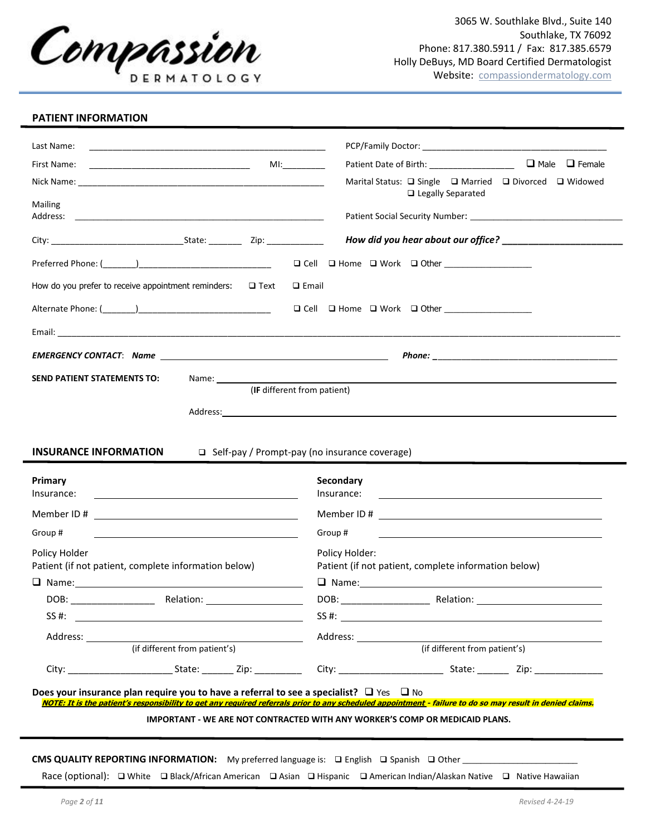

3065 W. Southlake Blvd., Suite 140 Southlake, TX 76092 Phone: 817.380.5911 / Fax: 817.385.6579 Holly DeBuys, MD Board Certified Dermatologist Website: compassiondermatology.com

# **PATIENT INFORMATION**

| Last Name:                                                                                               |                                                                                                                                                                                                                                                 |
|----------------------------------------------------------------------------------------------------------|-------------------------------------------------------------------------------------------------------------------------------------------------------------------------------------------------------------------------------------------------|
| First Name:                                                                                              | MI: and the same of the same of the same of the same of the same of the same of the same of the same of the same of the same of the same of the same of the same of the same of the same of the same of the same of the same o                  |
|                                                                                                          | Marital Status: □ Single □ Married □ Divorced □ Widowed                                                                                                                                                                                         |
| Mailing                                                                                                  | □ Legally Separated                                                                                                                                                                                                                             |
|                                                                                                          | How did you hear about our office?                                                                                                                                                                                                              |
|                                                                                                          | □ Cell □ Home □ Work □ Other _________________                                                                                                                                                                                                  |
| How do you prefer to receive appointment reminders: $\Box$ Text                                          | $\Box$ Email                                                                                                                                                                                                                                    |
|                                                                                                          | $\Box$ Cell $\Box$ Home $\Box$ Work $\Box$ Other                                                                                                                                                                                                |
|                                                                                                          |                                                                                                                                                                                                                                                 |
|                                                                                                          |                                                                                                                                                                                                                                                 |
| <b>SEND PATIENT STATEMENTS TO:</b>                                                                       | Name: when the contract of the contract of the contract of the contract of the contract of the contract of the contract of the contract of the contract of the contract of the contract of the contract of the contract of the                  |
|                                                                                                          | (IF different from patient)                                                                                                                                                                                                                     |
|                                                                                                          |                                                                                                                                                                                                                                                 |
|                                                                                                          |                                                                                                                                                                                                                                                 |
| <b>INSURANCE INFORMATION</b>                                                                             | □ Self-pay / Prompt-pay (no insurance coverage)                                                                                                                                                                                                 |
| Primary<br>Insurance:<br><u> 1989 - Johann Stein, mars an de Britain (b. 1989)</u>                       | Secondary<br>Insurance:<br><u> 1989 - Johann Barnett, fransk politiker (d. 1989)</u>                                                                                                                                                            |
|                                                                                                          |                                                                                                                                                                                                                                                 |
| Group #                                                                                                  | Group #<br>the control of the control of the control of the control of the control of the control of the control of the control of the control of the control of the control of the control of the control of the control of the control        |
| Policy Holder<br>Patient (if not patient, complete information below)                                    | Policy Holder:<br>Patient (if not patient, complete information below)                                                                                                                                                                          |
|                                                                                                          |                                                                                                                                                                                                                                                 |
|                                                                                                          | DOB: Relation: Relation:                                                                                                                                                                                                                        |
| SS #:<br><u> 1980 - Johann Barnett, fransk politik (d. 1980)</u>                                         | SS #: $\_$                                                                                                                                                                                                                                      |
| <u> 1980 - Johann Barbara, martin amerikan basar da</u>                                                  | Address: 2008                                                                                                                                                                                                                                   |
|                                                                                                          |                                                                                                                                                                                                                                                 |
| (if different from patient's)                                                                            | (if different from patient's)                                                                                                                                                                                                                   |
|                                                                                                          |                                                                                                                                                                                                                                                 |
| <b>Does your insurance plan require you to have a referral to see a specialist?</b> $\Box$ Yes $\Box$ No |                                                                                                                                                                                                                                                 |
|                                                                                                          | NOTE: It is the patient's responsibility to get any required referrals prior to any scheduled appointment - failure to do so may result in denied claims.<br><b>IMPORTANT - WE ARE NOT CONTRACTED WITH ANY WORKER'S COMP OR MEDICAID PLANS.</b> |
|                                                                                                          |                                                                                                                                                                                                                                                 |
|                                                                                                          | CMS QUALITY REPORTING INFORMATION: My preferred language is: □ English □ Spanish □ Other ______________________<br>Race (optional): U White U Black/African American U Asian U Hispanic U American Indian/Alaskan Native U Native Hawaiian      |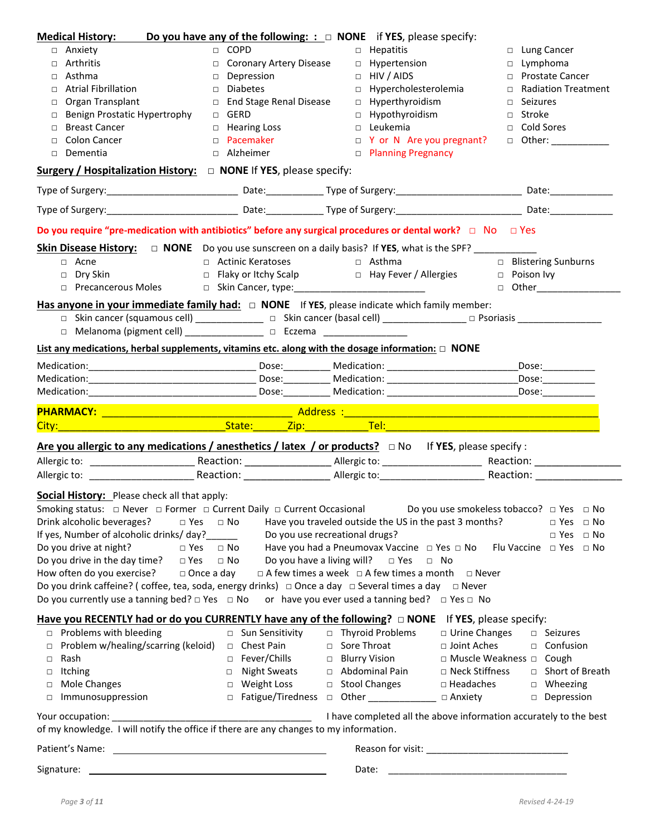| <b>Medical History:</b>                                                                                    |                             | <b>Do you have any of the following:</b> $: \square$ <b>NONE</b> if <b>YES</b> , please specify:                         |                                                                               |  |  |
|------------------------------------------------------------------------------------------------------------|-----------------------------|--------------------------------------------------------------------------------------------------------------------------|-------------------------------------------------------------------------------|--|--|
| $\Box$ Anxiety                                                                                             | $\Box$ COPD                 | <b>Hepatitis</b><br>$\Box$                                                                                               | □ Lung Cancer                                                                 |  |  |
| Arthritis<br>$\Box$                                                                                        | □ Coronary Artery Disease   | $\Box$ Hypertension                                                                                                      | $\Box$ Lymphoma                                                               |  |  |
| Asthma<br>$\Box$                                                                                           | $\Box$ Depression           | $\Box$ HIV / AIDS                                                                                                        | □ Prostate Cancer                                                             |  |  |
| <b>Atrial Fibrillation</b><br>□                                                                            | <b>Diabetes</b><br>$\Box$   | □ Hypercholesterolemia                                                                                                   | □ Radiation Treatment                                                         |  |  |
| Organ Transplant<br>$\Box$                                                                                 | □ End Stage Renal Disease   | □ Hyperthyroidism                                                                                                        | $\Box$ Seizures                                                               |  |  |
| Benign Prostatic Hypertrophy<br>$\Box$<br><b>Breast Cancer</b>                                             | □ GERD<br>□ Hearing Loss    | □ Hypothyroidism<br>□ Leukemia                                                                                           | □ Stroke<br>□ Cold Sores                                                      |  |  |
| $\Box$<br>Colon Cancer<br>□                                                                                | D Pacemaker                 | □ Y or N Are you pregnant?                                                                                               |                                                                               |  |  |
| □ Dementia                                                                                                 | □ Alzheimer                 | <b>D</b> Planning Pregnancy                                                                                              |                                                                               |  |  |
| Surgery / Hospitalization History: $\Box$ NONE If YES, please specify:                                     |                             |                                                                                                                          |                                                                               |  |  |
|                                                                                                            |                             |                                                                                                                          |                                                                               |  |  |
|                                                                                                            |                             |                                                                                                                          |                                                                               |  |  |
|                                                                                                            |                             | Do you require "pre-medication with antibiotics" before any surgical procedures or dental work? $\Box$ No $\Box$ Yes     |                                                                               |  |  |
|                                                                                                            |                             | Skin Disease History: □ NONE Do you use sunscreen on a daily basis? If YES, what is the SPF? ___________                 |                                                                               |  |  |
| □ Acne                                                                                                     | □ Actinic Keratoses         | and D. Asthma                                                                                                            | □ Blistering Sunburns                                                         |  |  |
| $\Box$ Dry Skin                                                                                            | $\Box$ Flaky or Itchy Scalp | □ Hay Fever / Allergies                                                                                                  | $\Box$ Poison Ivy                                                             |  |  |
| □ Precancerous Moles                                                                                       |                             |                                                                                                                          |                                                                               |  |  |
| Has anyone in your immediate family had: $\Box$ NONE If YES, please indicate which family member:          |                             |                                                                                                                          |                                                                               |  |  |
|                                                                                                            |                             | □ Skin cancer (squamous cell) _____________ □ Skin cancer (basal cell) ______________ □ Psoriasis ______________         |                                                                               |  |  |
| □ Melanoma (pigment cell) __________________ □ Eczema ___________________                                  |                             |                                                                                                                          |                                                                               |  |  |
| List any medications, herbal supplements, vitamins etc. along with the dosage information: $\Box$ NONE     |                             |                                                                                                                          |                                                                               |  |  |
|                                                                                                            |                             |                                                                                                                          | Dose:                                                                         |  |  |
|                                                                                                            |                             |                                                                                                                          | Dose:                                                                         |  |  |
|                                                                                                            |                             |                                                                                                                          |                                                                               |  |  |
|                                                                                                            |                             |                                                                                                                          |                                                                               |  |  |
|                                                                                                            |                             |                                                                                                                          |                                                                               |  |  |
| Are you allergic to any medications / anesthetics / latex / or products? $\Box$ No If YES, please specify: |                             |                                                                                                                          |                                                                               |  |  |
|                                                                                                            |                             |                                                                                                                          |                                                                               |  |  |
|                                                                                                            |                             |                                                                                                                          |                                                                               |  |  |
|                                                                                                            |                             |                                                                                                                          |                                                                               |  |  |
|                                                                                                            |                             |                                                                                                                          |                                                                               |  |  |
| Social History: Please check all that apply:                                                               |                             |                                                                                                                          |                                                                               |  |  |
| Smoking status: $\Box$ Never $\Box$ Former $\Box$ Current Daily $\Box$ Current Occasional                  |                             |                                                                                                                          | Do you use smokeless tobacco? $\Box$ Yes $\Box$ No<br>$\Box$ Yes<br>$\Box$ No |  |  |
| Drink alcoholic beverages?<br>$\square$ Yes<br>If yes, Number of alcoholic drinks/ day?______              | $\Box$ No                   | Have you traveled outside the US in the past 3 months?                                                                   | $\Box$ Yes<br>$\Box$ No                                                       |  |  |
| Do you drive at night?<br>$\Box$ Yes                                                                       | $\Box$ No                   | Do you use recreational drugs?<br>Have you had a Pneumovax Vaccine $\Box$ Yes $\Box$ No Flu Vaccine $\Box$ Yes $\Box$ No |                                                                               |  |  |
| Do you drive in the day time? $\Box$ Yes                                                                   | $\Box$ No                   | Do you have a living will? $\Box$ Yes $\Box$ No                                                                          |                                                                               |  |  |
| How often do you exercise? $\Box$ Once a day                                                               |                             | $\Box$ A few times a week $\Box$ A few times a month<br>□ Never                                                          |                                                                               |  |  |
| Do you drink caffeine? (coffee, tea, soda, energy drinks) □ Once a day □ Several times a day □ Never       |                             |                                                                                                                          |                                                                               |  |  |
| Do you currently use a tanning bed? $\Box$ Yes $\Box$ No                                                   |                             | or have you ever used a tanning bed? $\Box$ Yes $\Box$ No                                                                |                                                                               |  |  |
|                                                                                                            |                             | Have you RECENTLY had or do you CURRENTLY have any of the following? $\Box$ NONE If YES, please specify:                 |                                                                               |  |  |
| $\Box$ Problems with bleeding                                                                              | □ Sun Sensitivity           | □ Thyroid Problems<br>$\Box$ Urine Changes                                                                               | $\Box$ Seizures                                                               |  |  |
| Problem w/healing/scarring (keloid)                                                                        | □ Chest Pain                | □ Sore Throat<br>□ Joint Aches                                                                                           | $\Box$ Confusion                                                              |  |  |
| Rash<br>$\Box$                                                                                             | □ Fever/Chills              | □ Blurry Vision                                                                                                          | □ Muscle Weakness □ Cough                                                     |  |  |
| Itching<br>$\Box$<br>$\Box$                                                                                | □ Night Sweats              | □ Abdominal Pain<br>□ Neck Stiffness                                                                                     | □ Short of Breath                                                             |  |  |
| Mole Changes<br>$\Box$ Immunosuppression                                                                   | □ Weight Loss               | □ Stool Changes<br>$\Box$ Headaches                                                                                      | $\Box$ Wheezing<br>Depression                                                 |  |  |
|                                                                                                            |                             | □ Fatigue/Tiredness □ Other _____________ □ Anxiety                                                                      |                                                                               |  |  |
|                                                                                                            |                             | I have completed all the above information accurately to the best                                                        |                                                                               |  |  |
| of my knowledge. I will notify the office if there are any changes to my information.                      |                             |                                                                                                                          |                                                                               |  |  |
| Signature:                                                                                                 |                             | Date:                                                                                                                    |                                                                               |  |  |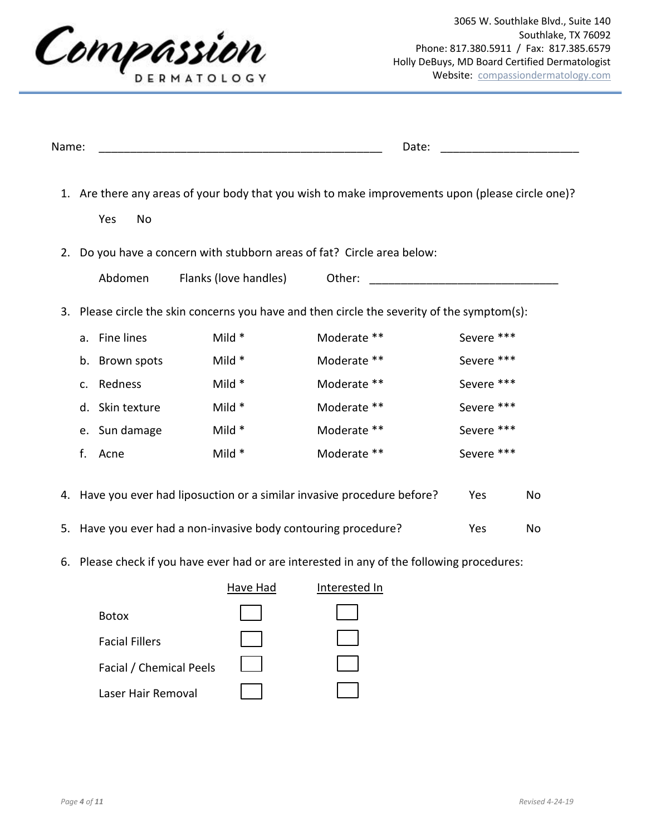

| Name:                                                                                      |                                                                                             |                       | Date:                                                                                            |            |  |  |
|--------------------------------------------------------------------------------------------|---------------------------------------------------------------------------------------------|-----------------------|--------------------------------------------------------------------------------------------------|------------|--|--|
|                                                                                            | Yes<br>No                                                                                   |                       | 1. Are there any areas of your body that you wish to make improvements upon (please circle one)? |            |  |  |
|                                                                                            |                                                                                             |                       | 2. Do you have a concern with stubborn areas of fat? Circle area below:                          |            |  |  |
|                                                                                            | Abdomen                                                                                     | Flanks (love handles) | Other:                                                                                           |            |  |  |
|                                                                                            | 3. Please circle the skin concerns you have and then circle the severity of the symptom(s): |                       |                                                                                                  |            |  |  |
|                                                                                            | Fine lines<br>а.                                                                            | Mild *                | Moderate **                                                                                      | Severe *** |  |  |
|                                                                                            | Brown spots<br>b.                                                                           | Mild *                | Moderate **                                                                                      | Severe *** |  |  |
|                                                                                            | Redness<br>c.                                                                               | Mild *                | Moderate **                                                                                      | Severe *** |  |  |
|                                                                                            | d. Skin texture                                                                             | Mild *                | Moderate **                                                                                      | Severe *** |  |  |
|                                                                                            | e. Sun damage                                                                               | Mild *                | Moderate **                                                                                      | Severe *** |  |  |
|                                                                                            | f.<br>Acne                                                                                  | Mild *                | Moderate **                                                                                      | Severe *** |  |  |
|                                                                                            | 4. Have you ever had liposuction or a similar invasive procedure before?<br>Yes<br>No       |                       |                                                                                                  |            |  |  |
|                                                                                            | 5. Have you ever had a non-invasive body contouring procedure?<br>Yes<br>No                 |                       |                                                                                                  |            |  |  |
| 6. Please check if you have ever had or are interested in any of the following procedures: |                                                                                             |                       |                                                                                                  |            |  |  |
|                                                                                            |                                                                                             | Have Had              | Interested In                                                                                    |            |  |  |
|                                                                                            | <b>Botox</b>                                                                                |                       |                                                                                                  |            |  |  |
|                                                                                            | <b>Facial Fillers</b>                                                                       |                       |                                                                                                  |            |  |  |
|                                                                                            | <b>Facial / Chemical Peels</b>                                                              |                       |                                                                                                  |            |  |  |

Laser Hair Removal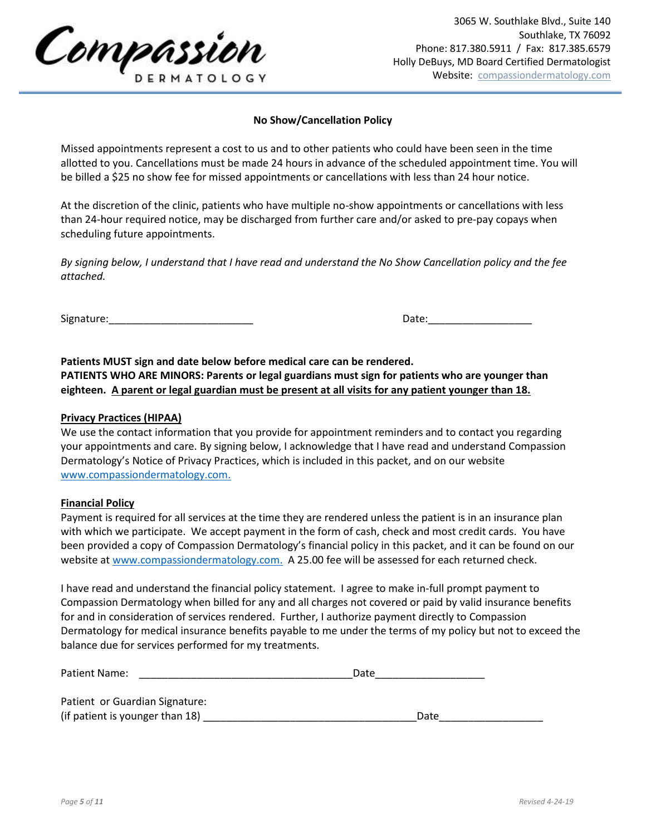

# **No Show/Cancellation Policy**

Missed appointments represent a cost to us and to other patients who could have been seen in the time allotted to you. Cancellations must be made 24 hours in advance of the scheduled appointment time. You will be billed a \$25 no show fee for missed appointments or cancellations with less than 24 hour notice.

At the discretion of the clinic, patients who have multiple no-show appointments or cancellations with less than 24-hour required notice, may be discharged from further care and/or asked to pre-pay copays when scheduling future appointments.

*By signing below, I understand that I have read and understand the No Show Cancellation policy and the fee attached.*

Signature:\_\_\_\_\_\_\_\_\_\_\_\_\_\_\_\_\_\_\_\_\_\_\_\_\_ Date:\_\_\_\_\_\_\_\_\_\_\_\_\_\_\_\_\_\_

**Patients MUST sign and date below before medical care can be rendered. PATIENTS WHO ARE MINORS: Parents or legal guardians must sign for patients who are younger than eighteen. A parent or legal guardian must be present at all visits for any patient younger than 18.**

# **Privacy Practices (HIPAA)**

We use the contact information that you provide for appointment reminders and to contact you regarding your appointments and care. By signing below, I acknowledge that I have read and understand Compassion Dermatology's Notice of Privacy Practices, which is included in this packet, and on our website [www.compassiondermatology.com.](http://www.compassiondermatology.com/)

# **Financial Policy**

Payment is required for all services at the time they are rendered unless the patient is in an insurance plan with which we participate. We accept payment in the form of cash, check and most credit cards. You have been provided a copy of Compassion Dermatology's financial policy in this packet, and it can be found on our website a[t www.compassiondermatology.com.](http://www.compassiondermatology.com/) A 25.00 fee will be assessed for each returned check.

I have read and understand the financial policy statement. I agree to make in-full prompt payment to Compassion Dermatology when billed for any and all charges not covered or paid by valid insurance benefits for and in consideration of services rendered. Further, I authorize payment directly to Compassion Dermatology for medical insurance benefits payable to me under the terms of my policy but not to exceed the balance due for services performed for my treatments.

| Patient Name:                   | Date |
|---------------------------------|------|
| Patient or Guardian Signature:  |      |
| (if patient is younger than 18) | Date |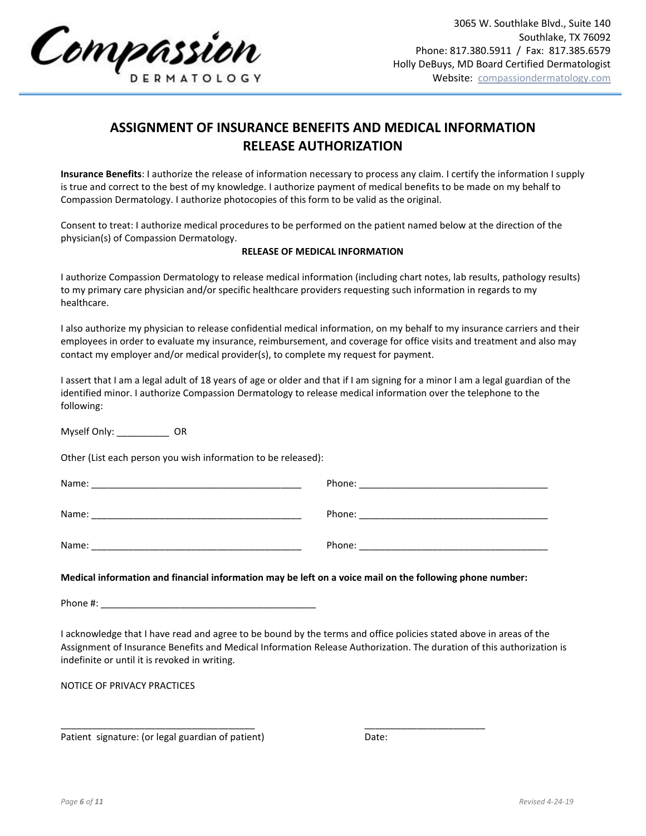

# **ASSIGNMENT OF INSURANCE BENEFITS AND MEDICAL INFORMATION RELEASE AUTHORIZATION**

**Insurance Benefits**: I authorize the release of information necessary to process any claim. I certify the information I supply is true and correct to the best of my knowledge. I authorize payment of medical benefits to be made on my behalf to Compassion Dermatology. I authorize photocopies of this form to be valid as the original.

Consent to treat: I authorize medical procedures to be performed on the patient named below at the direction of the physician(s) of Compassion Dermatology.

### **RELEASE OF MEDICAL INFORMATION**

I authorize Compassion Dermatology to release medical information (including chart notes, lab results, pathology results) to my primary care physician and/or specific healthcare providers requesting such information in regards to my healthcare.

I also authorize my physician to release confidential medical information, on my behalf to my insurance carriers and their employees in order to evaluate my insurance, reimbursement, and coverage for office visits and treatment and also may contact my employer and/or medical provider(s), to complete my request for payment.

I assert that I am a legal adult of 18 years of age or older and that if I am signing for a minor I am a legal guardian of the identified minor. I authorize Compassion Dermatology to release medical information over the telephone to the following:

Myself Only: \_\_\_\_\_\_\_\_\_\_ OR

Other (List each person you wish information to be released):

| Name: | Phone: |
|-------|--------|
|       |        |
| Name: | Phone: |
|       |        |
| Name: | Phone: |

# **Medical information and financial information may be left on a voice mail on the following phone number:**

Phone #: \_\_\_\_\_\_\_\_\_\_\_\_\_\_\_\_\_\_\_\_\_\_\_\_\_\_\_\_\_\_\_\_\_\_\_\_\_\_\_\_\_

I acknowledge that I have read and agree to be bound by the terms and office policies stated above in areas of the Assignment of Insurance Benefits and Medical Information Release Authorization. The duration of this authorization is indefinite or until it is revoked in writing.

NOTICE OF PRIVACY PRACTICES

Patient signature: (or legal guardian of patient) Date:

\_\_\_\_\_\_\_\_\_\_\_\_\_\_\_\_\_\_\_\_\_\_\_\_\_\_\_\_\_\_\_\_\_\_\_\_\_ \_\_\_\_\_\_\_\_\_\_\_\_\_\_\_\_\_\_\_\_\_\_\_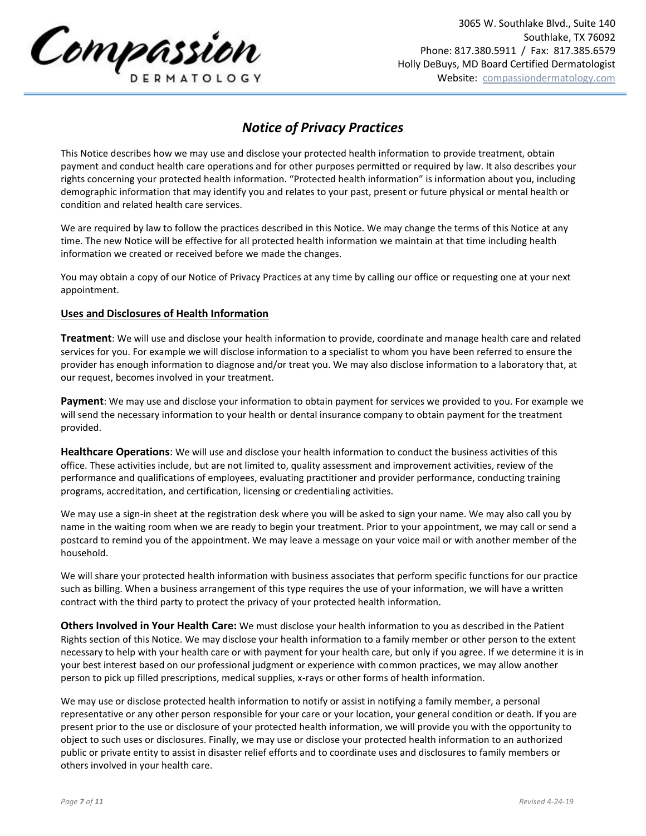

3065 W. Southlake Blvd., Suite 140 Southlake, TX 76092 Phone: 817.380.5911 / Fax: 817.385.6579 Holly DeBuys, MD Board Certified Dermatologist Website: compassiondermatology.com

# *Notice of Privacy Practices*

This Notice describes how we may use and disclose your protected health information to provide treatment, obtain payment and conduct health care operations and for other purposes permitted or required by law. It also describes your rights concerning your protected health information. "Protected health information" is information about you, including demographic information that may identify you and relates to your past, present or future physical or mental health or condition and related health care services.

We are required by law to follow the practices described in this Notice. We may change the terms of this Notice at any time. The new Notice will be effective for all protected health information we maintain at that time including health information we created or received before we made the changes.

You may obtain a copy of our Notice of Privacy Practices at any time by calling our office or requesting one at your next appointment.

# **Uses and Disclosures of Health Information**

**Treatment**: We will use and disclose your health information to provide, coordinate and manage health care and related services for you. For example we will disclose information to a specialist to whom you have been referred to ensure the provider has enough information to diagnose and/or treat you. We may also disclose information to a laboratory that, at our request, becomes involved in your treatment.

**Payment**: We may use and disclose your information to obtain payment for services we provided to you. For example we will send the necessary information to your health or dental insurance company to obtain payment for the treatment provided.

**Healthcare Operations**: We will use and disclose your health information to conduct the business activities of this office. These activities include, but are not limited to, quality assessment and improvement activities, review of the performance and qualifications of employees, evaluating practitioner and provider performance, conducting training programs, accreditation, and certification, licensing or credentialing activities.

We may use a sign-in sheet at the registration desk where you will be asked to sign your name. We may also call you by name in the waiting room when we are ready to begin your treatment. Prior to your appointment, we may call or send a postcard to remind you of the appointment. We may leave a message on your voice mail or with another member of the household.

We will share your protected health information with business associates that perform specific functions for our practice such as billing. When a business arrangement of this type requires the use of your information, we will have a written contract with the third party to protect the privacy of your protected health information.

**Others Involved in Your Health Care:** We must disclose your health information to you as described in the Patient Rights section of this Notice. We may disclose your health information to a family member or other person to the extent necessary to help with your health care or with payment for your health care, but only if you agree. If we determine it is in your best interest based on our professional judgment or experience with common practices, we may allow another person to pick up filled prescriptions, medical supplies, x-rays or other forms of health information.

We may use or disclose protected health information to notify or assist in notifying a family member, a personal representative or any other person responsible for your care or your location, your general condition or death. If you are present prior to the use or disclosure of your protected health information, we will provide you with the opportunity to object to such uses or disclosures. Finally, we may use or disclose your protected health information to an authorized public or private entity to assist in disaster relief efforts and to coordinate uses and disclosures to family members or others involved in your health care.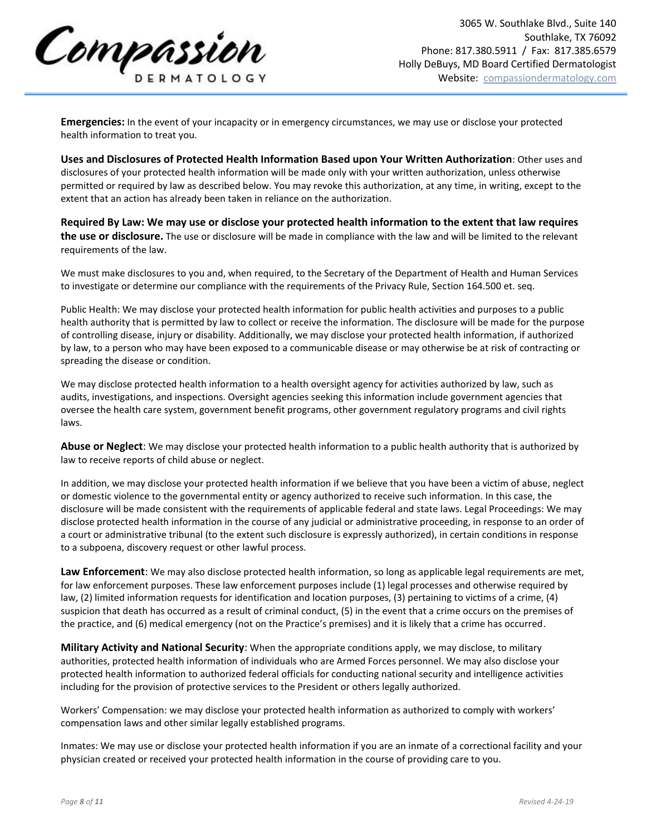

**Emergencies:** In the event of your incapacity or in emergency circumstances, we may use or disclose your protected health information to treat you.

**Uses and Disclosures of Protected Health Information Based upon Your Written Authorization**: Other uses and disclosures of your protected health information will be made only with your written authorization, unless otherwise permitted or required by law as described below. You may revoke this authorization, at any time, in writing, except to the extent that an action has already been taken in reliance on the authorization.

**Required By Law: We may use or disclose your protected health information to the extent that law requires the use or disclosure.** The use or disclosure will be made in compliance with the law and will be limited to the relevant requirements of the law.

We must make disclosures to you and, when required, to the Secretary of the Department of Health and Human Services to investigate or determine our compliance with the requirements of the Privacy Rule, Section 164.500 et. seq.

Public Health: We may disclose your protected health information for public health activities and purposes to a public health authority that is permitted by law to collect or receive the information. The disclosure will be made for the purpose of controlling disease, injury or disability. Additionally, we may disclose your protected health information, if authorized by law, to a person who may have been exposed to a communicable disease or may otherwise be at risk of contracting or spreading the disease or condition.

We may disclose protected health information to a health oversight agency for activities authorized by law, such as audits, investigations, and inspections. Oversight agencies seeking this information include government agencies that oversee the health care system, government benefit programs, other government regulatory programs and civil rights laws.

**Abuse or Neglect**: We may disclose your protected health information to a public health authority that is authorized by law to receive reports of child abuse or neglect.

In addition, we may disclose your protected health information if we believe that you have been a victim of abuse, neglect or domestic violence to the governmental entity or agency authorized to receive such information. In this case, the disclosure will be made consistent with the requirements of applicable federal and state laws. Legal Proceedings: We may disclose protected health information in the course of any judicial or administrative proceeding, in response to an order of a court or administrative tribunal (to the extent such disclosure is expressly authorized), in certain conditions in response to a subpoena, discovery request or other lawful process.

**Law Enforcement**: We may also disclose protected health information, so long as applicable legal requirements are met, for law enforcement purposes. These law enforcement purposes include (1) legal processes and otherwise required by law, (2) limited information requests for identification and location purposes, (3) pertaining to victims of a crime, (4) suspicion that death has occurred as a result of criminal conduct, (5) in the event that a crime occurs on the premises of the practice, and (6) medical emergency (not on the Practice's premises) and it is likely that a crime has occurred.

**Military Activity and National Security**: When the appropriate conditions apply, we may disclose, to military authorities, protected health information of individuals who are Armed Forces personnel. We may also disclose your protected health information to authorized federal officials for conducting national security and intelligence activities including for the provision of protective services to the President or others legally authorized.

Workers' Compensation: we may disclose your protected health information as authorized to comply with workers' compensation laws and other similar legally established programs.

Inmates: We may use or disclose your protected health information if you are an inmate of a correctional facility and your physician created or received your protected health information in the course of providing care to you.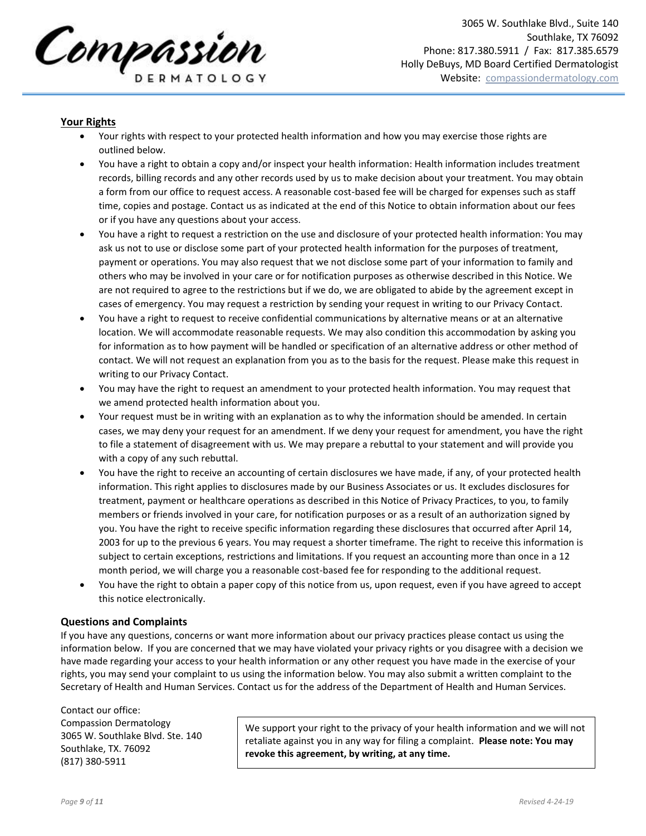

### **Your Rights**

- Your rights with respect to your protected health information and how you may exercise those rights are outlined below.
- You have a right to obtain a copy and/or inspect your health information: Health information includes treatment records, billing records and any other records used by us to make decision about your treatment. You may obtain a form from our office to request access. A reasonable cost-based fee will be charged for expenses such as staff time, copies and postage. Contact us as indicated at the end of this Notice to obtain information about our fees or if you have any questions about your access.
- You have a right to request a restriction on the use and disclosure of your protected health information: You may ask us not to use or disclose some part of your protected health information for the purposes of treatment, payment or operations. You may also request that we not disclose some part of your information to family and others who may be involved in your care or for notification purposes as otherwise described in this Notice. We are not required to agree to the restrictions but if we do, we are obligated to abide by the agreement except in cases of emergency. You may request a restriction by sending your request in writing to our Privacy Contact.
- You have a right to request to receive confidential communications by alternative means or at an alternative location. We will accommodate reasonable requests. We may also condition this accommodation by asking you for information as to how payment will be handled or specification of an alternative address or other method of contact. We will not request an explanation from you as to the basis for the request. Please make this request in writing to our Privacy Contact.
- You may have the right to request an amendment to your protected health information. You may request that we amend protected health information about you.
- Your request must be in writing with an explanation as to why the information should be amended. In certain cases, we may deny your request for an amendment. If we deny your request for amendment, you have the right to file a statement of disagreement with us. We may prepare a rebuttal to your statement and will provide you with a copy of any such rebuttal.
- You have the right to receive an accounting of certain disclosures we have made, if any, of your protected health information. This right applies to disclosures made by our Business Associates or us. It excludes disclosures for treatment, payment or healthcare operations as described in this Notice of Privacy Practices, to you, to family members or friends involved in your care, for notification purposes or as a result of an authorization signed by you. You have the right to receive specific information regarding these disclosures that occurred after April 14, 2003 for up to the previous 6 years. You may request a shorter timeframe. The right to receive this information is subject to certain exceptions, restrictions and limitations. If you request an accounting more than once in a 12 month period, we will charge you a reasonable cost-based fee for responding to the additional request.
- You have the right to obtain a paper copy of this notice from us, upon request, even if you have agreed to accept this notice electronically.

#### **Questions and Complaints**

If you have any questions, concerns or want more information about our privacy practices please contact us using the information below. If you are concerned that we may have violated your privacy rights or you disagree with a decision we have made regarding your access to your health information or any other request you have made in the exercise of your rights, you may send your complaint to us using the information below. You may also submit a written complaint to the Secretary of Health and Human Services. Contact us for the address of the Department of Health and Human Services.

Contact our office: Compassion Dermatology 3065 W. Southlake Blvd. Ste. 140 Southlake, TX. 76092 (817) 380-5911

We support your right to the privacy of your health information and we will not retaliate against you in any way for filing a complaint. **Please note: You may revoke this agreement, by writing, at any time.**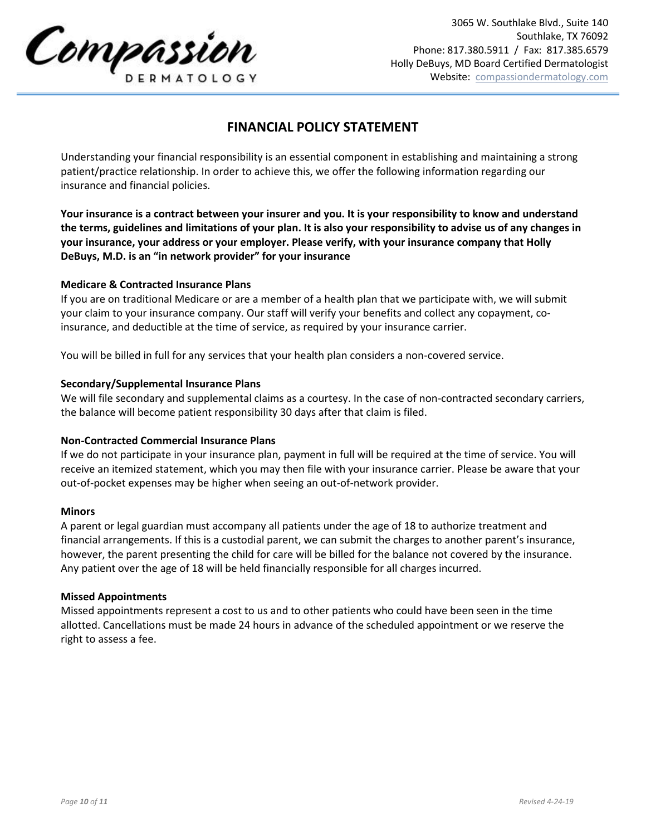

# **FINANCIAL POLICY STATEMENT**

Understanding your financial responsibility is an essential component in establishing and maintaining a strong patient/practice relationship. In order to achieve this, we offer the following information regarding our insurance and financial policies.

**Your insurance is a contract between your insurer and you. It is your responsibility to know and understand the terms, guidelines and limitations of your plan. It is also your responsibility to advise us of any changes in your insurance, your address or your employer. Please verify, with your insurance company that Holly DeBuys, M.D. is an "in network provider" for your insurance**

# **Medicare & Contracted Insurance Plans**

If you are on traditional Medicare or are a member of a health plan that we participate with, we will submit your claim to your insurance company. Our staff will verify your benefits and collect any copayment, coinsurance, and deductible at the time of service, as required by your insurance carrier.

You will be billed in full for any services that your health plan considers a non-covered service.

# **Secondary/Supplemental Insurance Plans**

We will file secondary and supplemental claims as a courtesy. In the case of non-contracted secondary carriers, the balance will become patient responsibility 30 days after that claim is filed.

# **Non-Contracted Commercial Insurance Plans**

If we do not participate in your insurance plan, payment in full will be required at the time of service. You will receive an itemized statement, which you may then file with your insurance carrier. Please be aware that your out-of-pocket expenses may be higher when seeing an out-of-network provider.

# **Minors**

A parent or legal guardian must accompany all patients under the age of 18 to authorize treatment and financial arrangements. If this is a custodial parent, we can submit the charges to another parent's insurance, however, the parent presenting the child for care will be billed for the balance not covered by the insurance. Any patient over the age of 18 will be held financially responsible for all charges incurred.

# **Missed Appointments**

Missed appointments represent a cost to us and to other patients who could have been seen in the time allotted. Cancellations must be made 24 hours in advance of the scheduled appointment or we reserve the right to assess a fee.